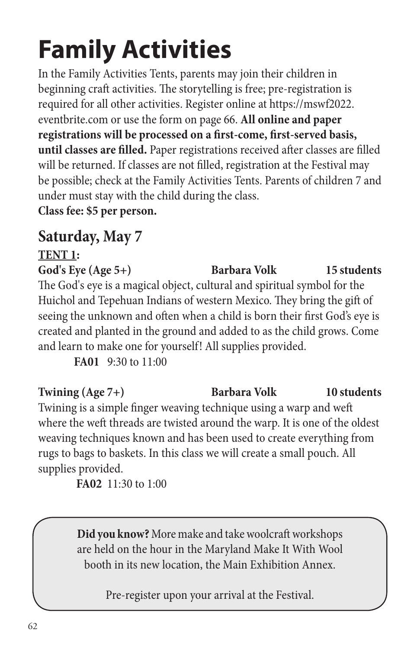In the Family Activities Tents, parents may join their children in beginning craft activities. The storytelling is free; pre-registration is required for all other activities. Register online at https://mswf2022. eventbrite.com or use the form on page 66. **All online and paper registrations will be processed on a first-come, first-served basis, until classes are filled.** Paper registrations received after classes are filled will be returned. If classes are not filled, registration at the Festival may be possible; check at the Family Activities Tents. Parents of children 7 and under must stay with the child during the class.

**Class fee: \$5 per person.**

### **Saturday, May 7**

### **TENT 1:** God's Eye (Age 5+) **Barbara Volk** 15 students The God's eye is a magical object, cultural and spiritual symbol for the Huichol and Tepehuan Indians of western Mexico. They bring the gift of seeing the unknown and often when a child is born their first God's eye is created and planted in the ground and added to as the child grows. Come and learn to make one for yourself! All supplies provided.

**FA01** 9:30 to 11:00

### Twining (Age 7+) **Barbara Volk** 10 students Twining is a simple finger weaving technique using a warp and weft where the weft threads are twisted around the warp. It is one of the oldest weaving techniques known and has been used to create everything from rugs to bags to baskets. In this class we will create a small pouch. All supplies provided.

**FA02** 11:30 to 1:00

**Did you know?** More make and take woolcraft workshops are held on the hour in the Maryland Make It With Wool booth in its new location, the Main Exhibition Annex.

Pre-register upon your arrival at the Festival.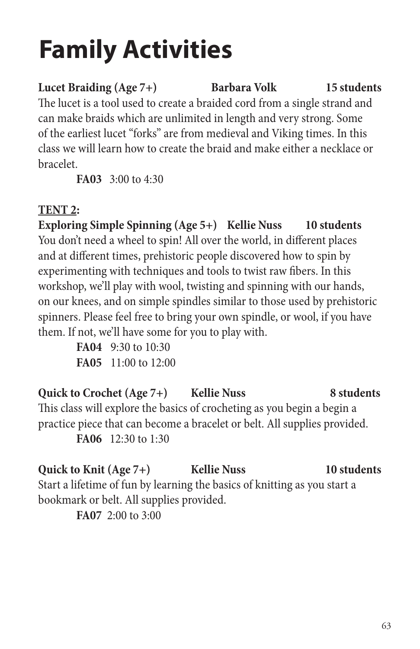Lucet Braiding (Age 7+) **Barbara Volk** 15 students The lucet is a tool used to create a braided cord from a single strand and can make braids which are unlimited in length and very strong. Some of the earliest lucet "forks" are from medieval and Viking times. In this class we will learn how to create the braid and make either a necklace or bracelet.

**FA03** 3:00 to 4:30

### **TENT 2:**

**Exploring Simple Spinning (Age 5+) Kellie Nuss 10 students** You don't need a wheel to spin! All over the world, in different places and at different times, prehistoric people discovered how to spin by experimenting with techniques and tools to twist raw fibers. In this workshop, we'll play with wool, twisting and spinning with our hands, on our knees, and on simple spindles similar to those used by prehistoric spinners. Please feel free to bring your own spindle, or wool, if you have them. If not, we'll have some for you to play with.

> **FA04** 9:30 to 10:30 **FA05** 11:00 to 12:00

#### **Quick to Crochet (Age 7+) Kellie Nuss 8 students** This class will explore the basics of crocheting as you begin a begin a

practice piece that can become a bracelet or belt. All supplies provided. **FA06** 12:30 to 1:30

### **Quick to Knit (Age 7+) Kellie Nuss 10 students** Start a lifetime of fun by learning the basics of knitting as you start a bookmark or belt. All supplies provided.

**FA07** 2:00 to 3:00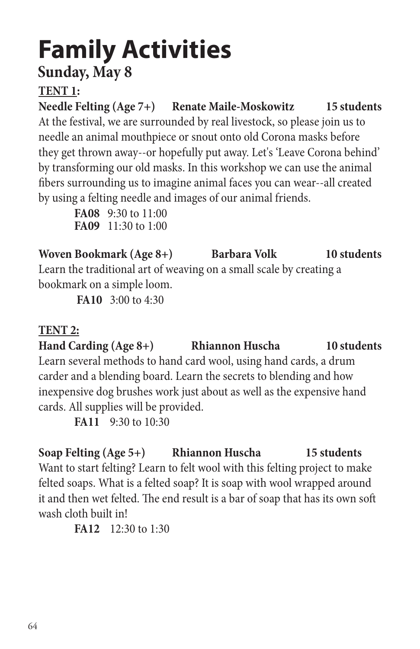### **Sunday, May 8**

### **TENT 1:**

**Needle Felting (Age 7+) Renate Maile-Moskowitz 15 students** At the festival, we are surrounded by real livestock, so please join us to needle an animal mouthpiece or snout onto old Corona masks before they get thrown away--or hopefully put away. Let's 'Leave Corona behind' by transforming our old masks. In this workshop we can use the animal fibers surrounding us to imagine animal faces you can wear--all created by using a felting needle and images of our animal friends.

**FA08** 9:30 to 11:00 **FA09** 11:30 to 1:00

Woven Bookmark (Age 8+) Barbara Volk 10 students Learn the traditional art of weaving on a small scale by creating a bookmark on a simple loom.

**FA10** 3:00 to 4:30

### **TENT 2:**

**Hand Carding (Age 8+) Rhiannon Huscha 10 students** Learn several methods to hand card wool, using hand cards, a drum carder and a blending board. Learn the secrets to blending and how inexpensive dog brushes work just about as well as the expensive hand cards. All supplies will be provided.

**FA11** 9:30 to 10:30

**Soap Felting (Age 5+) Rhiannon Huscha 15 students** Want to start felting? Learn to felt wool with this felting project to make felted soaps. What is a felted soap? It is soap with wool wrapped around it and then wet felted. The end result is a bar of soap that has its own soft wash cloth built in!

**FA12** 12:30 to 1:30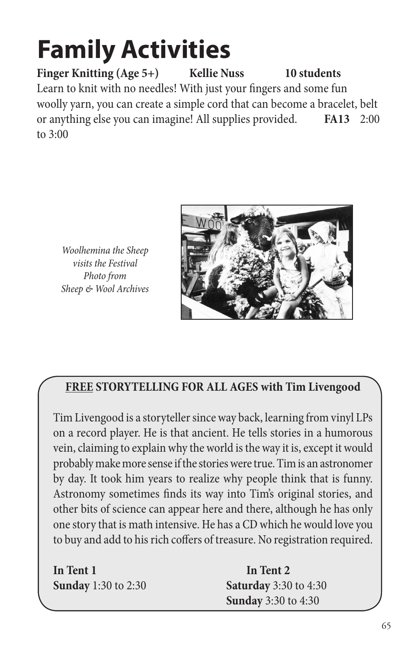Finger Knitting (Age 5+) Kellie Nuss 10 students Learn to knit with no needles! With just your fingers and some fun woolly yarn, you can create a simple cord that can become a bracelet, belt or anything else you can imagine! All supplies provided. **FA13** 2:00 to 3:00





### **FREE STORYTELLING FOR ALL AGES with Tim Livengood**

Tim Livengood is a storyteller since way back, learning from vinyl LPs on a record player. He is that ancient. He tells stories in a humorous vein, claiming to explain why the world is the way it is, except it would probably make more sense if the stories were true. Tim is an astronomer by day. It took him years to realize why people think that is funny. Astronomy sometimes finds its way into Tim's original stories, and other bits of science can appear here and there, although he has only one story that is math intensive. He has a CD which he would love you to buy and add to his rich coffers of treasure. No registration required.

| In Tent 1                  |  |
|----------------------------|--|
| <b>Sunday</b> 1:30 to 2:30 |  |

In Tent 2 **Saturday** 3:30 to 4:30  **Sunday** 3:30 to 4:30